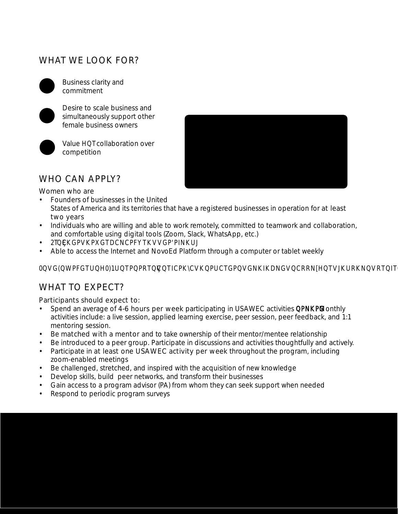# WHAT WE LOOK FOR?



Business clarity and commitment





Value *E*collaboration over competition

"All of the live sessions and speakers were remarkable! The October assignment made me realize that I am the bottleneck for my operations that has been transformational. I am glad to be a part of this program!"

Melinda Emerson, Quintessence Group, Advertising & Marketing

## WHO CAN APPLY?

Women who are

- Founders of businesses in the United States of America and its territories that have a registered businesses in operation for at least two years
- Individuals who are willing and able to work remotely, committed to teamwork and collaboration, and comfortable using digital tools (Zoom, Slack, WhatsApp, etc.)
- 2TEXSPVRISTDCNCPFYKVGPPINKUJ
- Able to access the Internet and NovoEd Platform through a computer or tablet weekly

#### 00G(0VPFGTU8)1UOPPRT0OOCPKVKOUCTGP02GNKONGVQRRN{ENJKJRKNQRTOTCO

# WHAT TO EXPECT?

Participants should expect to:

- Spend an average of 4-6 hours per week participating in USAWEC activities **ENRG**. Monthly activities include: a live session, applied learning exercise, peer session, peer feedback, and 1:1 mentoring session.
- Be matched with a mentor and to take ownership of their mentor/mentee relationship
- Be introduced to a peer group. Participate in discussions and activities thoughtfully and actively.
- Participate in at least one USAWEC activity per week throughout the program, including zoom-enabled meetings
- Be challenged, stretched, and inspired with the acquisition of new knowledge
- Develop skills, build peer networks, and transform their businesses
- Gain access to a program advisor (PA) from whom they can seek support when needed
- Respond to periodic program surveys

"I have a full MBA from university, Oh my!, I could have saved so much money, that's what USAWEC has been like! It has the highlights of the MBA program without the BS(non-sense). The networks I have built so far are mostly with white males. USAWEC has brought in the diversity of women entrepreneurs I could not get anywhere else"

Angela Wilson, Exploryst, Entertainment & Leisure